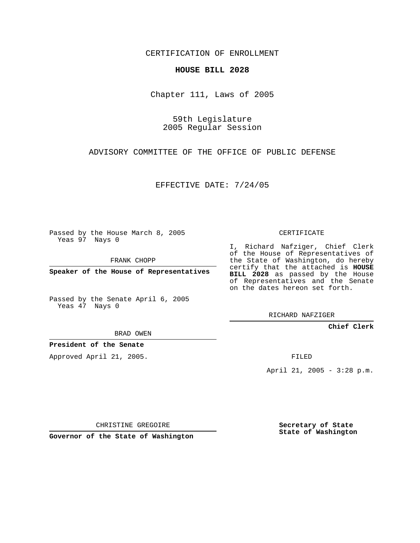CERTIFICATION OF ENROLLMENT

## **HOUSE BILL 2028**

Chapter 111, Laws of 2005

59th Legislature 2005 Regular Session

ADVISORY COMMITTEE OF THE OFFICE OF PUBLIC DEFENSE

EFFECTIVE DATE: 7/24/05

Passed by the House March 8, 2005 Yeas 97 Nays 0

FRANK CHOPP

**Speaker of the House of Representatives**

Passed by the Senate April 6, 2005 Yeas 47 Nays 0

CERTIFICATE

I, Richard Nafziger, Chief Clerk of the House of Representatives of the State of Washington, do hereby certify that the attached is **HOUSE BILL 2028** as passed by the House of Representatives and the Senate on the dates hereon set forth.

RICHARD NAFZIGER

**Chief Clerk**

BRAD OWEN

**President of the Senate**

Approved April 21, 2005.

FILED

April 21, 2005 - 3:28 p.m.

CHRISTINE GREGOIRE

**Governor of the State of Washington**

**Secretary of State State of Washington**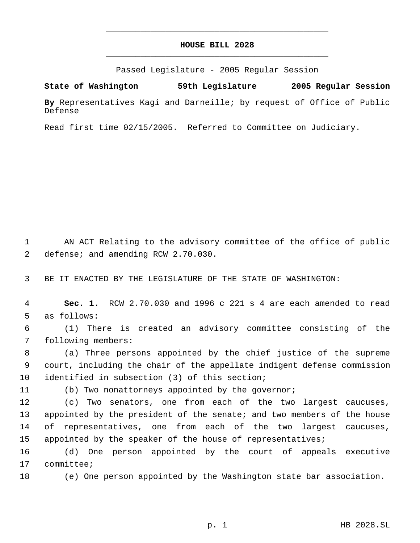## **HOUSE BILL 2028** \_\_\_\_\_\_\_\_\_\_\_\_\_\_\_\_\_\_\_\_\_\_\_\_\_\_\_\_\_\_\_\_\_\_\_\_\_\_\_\_\_\_\_\_\_

\_\_\_\_\_\_\_\_\_\_\_\_\_\_\_\_\_\_\_\_\_\_\_\_\_\_\_\_\_\_\_\_\_\_\_\_\_\_\_\_\_\_\_\_\_

Passed Legislature - 2005 Regular Session

**State of Washington 59th Legislature 2005 Regular Session**

**By** Representatives Kagi and Darneille; by request of Office of Public Defense

Read first time 02/15/2005. Referred to Committee on Judiciary.

 1 AN ACT Relating to the advisory committee of the office of public 2 defense; and amending RCW 2.70.030.

3 BE IT ENACTED BY THE LEGISLATURE OF THE STATE OF WASHINGTON:

 4 **Sec. 1.** RCW 2.70.030 and 1996 c 221 s 4 are each amended to read 5 as follows:

 6 (1) There is created an advisory committee consisting of the 7 following members:

 8 (a) Three persons appointed by the chief justice of the supreme 9 court, including the chair of the appellate indigent defense commission 10 identified in subsection (3) of this section;

11 (b) Two nonattorneys appointed by the governor;

 (c) Two senators, one from each of the two largest caucuses, appointed by the president of the senate; and two members of the house of representatives, one from each of the two largest caucuses, 15 appointed by the speaker of the house of representatives;

16 (d) One person appointed by the court of appeals executive 17 committee;

18 (e) One person appointed by the Washington state bar association.